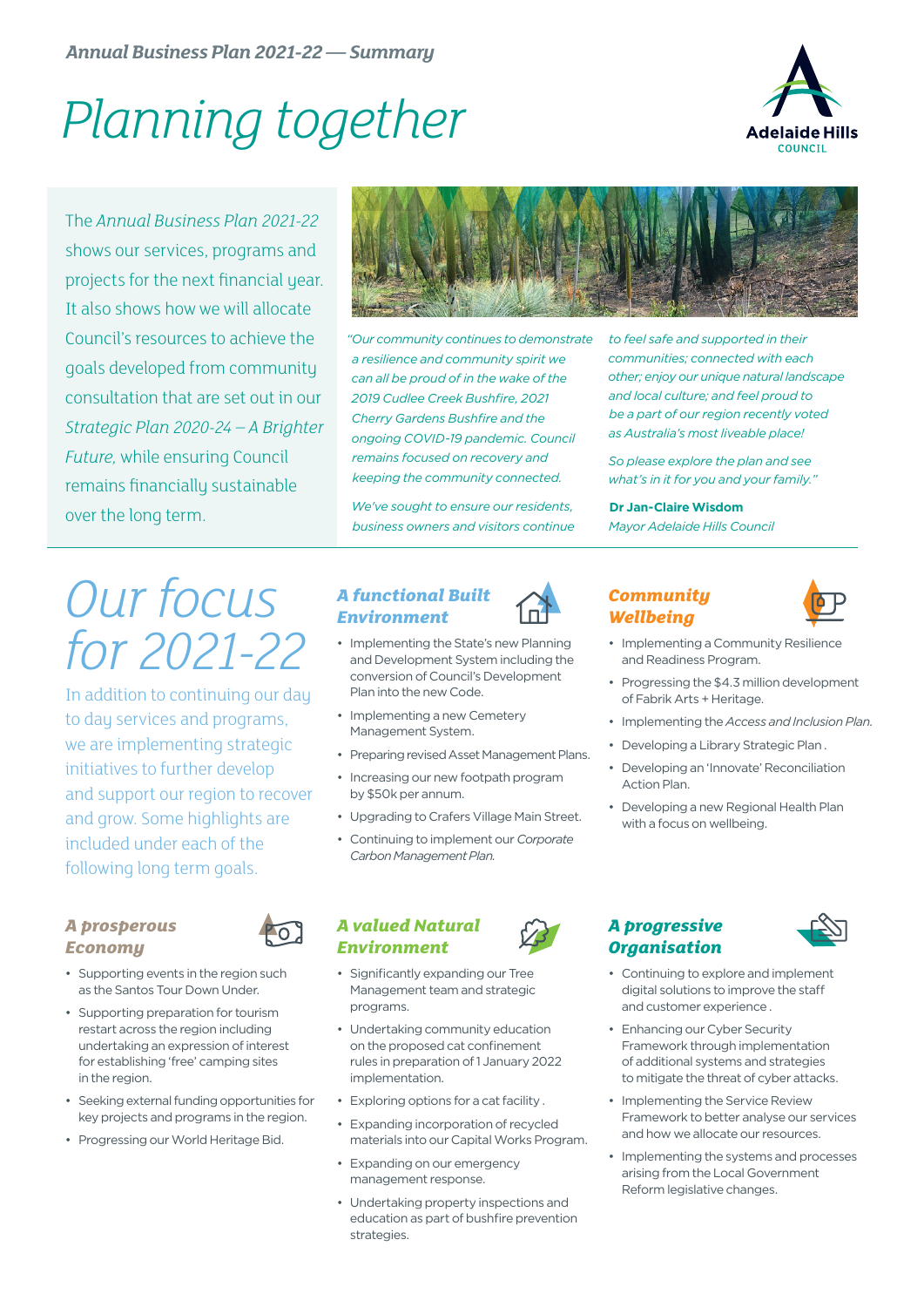# *Planning together*



The *Annual Business Plan 2021-22* shows our services, programs and projects for the next financial year. It also shows how we will allocate Council's resources to achieve the goals developed from community consultation that are set out in our *Strategic Plan 2020-24 – A Brighter Future,* while ensuring Council remains financially sustainable over the long term.



*"Our community continues to demonstrate a resilience and community spirit we can all be proud of in the wake of the 2019 Cudlee Creek Bushfire, 2021 Cherry Gardens Bushfire and the ongoing COVID-19 pandemic. Council remains focused on recovery and keeping the community connected.* 

*We've sought to ensure our residents, business owners and visitors continue*  *to feel safe and supported in their communities; connected with each other; enjoy our unique natural landscape and local culture; and feel proud to be a part of our region recently voted as Australia's most liveable place!*

*So please explore the plan and see what's in it for you and your family."*

#### **Dr Jan-Claire Wisdom**

*Mayor Adelaide Hills Council*

### *Our focus for 2021-22*

In addition to continuing our day to day services and programs, we are implementing strategic initiatives to further develop and support our region to recover and grow. Some highlights are included under each of the following long term goals.

#### *A prosperous Economy*

- 
- Supporting events in the region such as the Santos Tour Down Under.
- Supporting preparation for tourism restart across the region including undertaking an expression of interest for establishing 'free' camping sites in the region.
- Seeking external funding opportunities for key projects and programs in the region.
- Progressing our World Heritage Bid.

#### *A functional Built Environment*

- Implementing the State's new Planning and Development System including the conversion of Council's Development Plan into the new Code.
- Implementing a new Cemetery Management System.
- Preparing revised Asset Management Plans.
- Increasing our new footpath program by \$50k per annum.
- Upgrading to Crafers Village Main Street.
- Continuing to implement our *Corporate Carbon Management Plan.*

#### *A valued Natural Environment*

- Significantly expanding our Tree Management team and strategic programs.
- Undertaking community education on the proposed cat confinement rules in preparation of 1 January 2022 implementation.
- Exploring options for a cat facility .
- Expanding incorporation of recycled materials into our Capital Works Program.
- Expanding on our emergency management response.
- Undertaking property inspections and education as part of bushfire prevention strategies.

#### *Community Wellbeing*



- Implementing a Community Resilience and Readiness Program.
- Progressing the \$4.3 million development of Fabrik Arts + Heritage.
- Implementing the *Access and Inclusion Plan.*
- Developing a Library Strategic Plan .
- Developing an 'Innovate' Reconciliation Action Plan.
- Developing a new Regional Health Plan with a focus on wellbeing.

#### *A progressive Organisation*



- Continuing to explore and implement digital solutions to improve the staff and customer experience .
- Enhancing our Cyber Security Framework through implementation of additional systems and strategies to mitigate the threat of cyber attacks.
- Implementing the Service Review Framework to better analyse our services and how we allocate our resources.
- Implementing the systems and processes arising from the Local Government Reform legislative changes.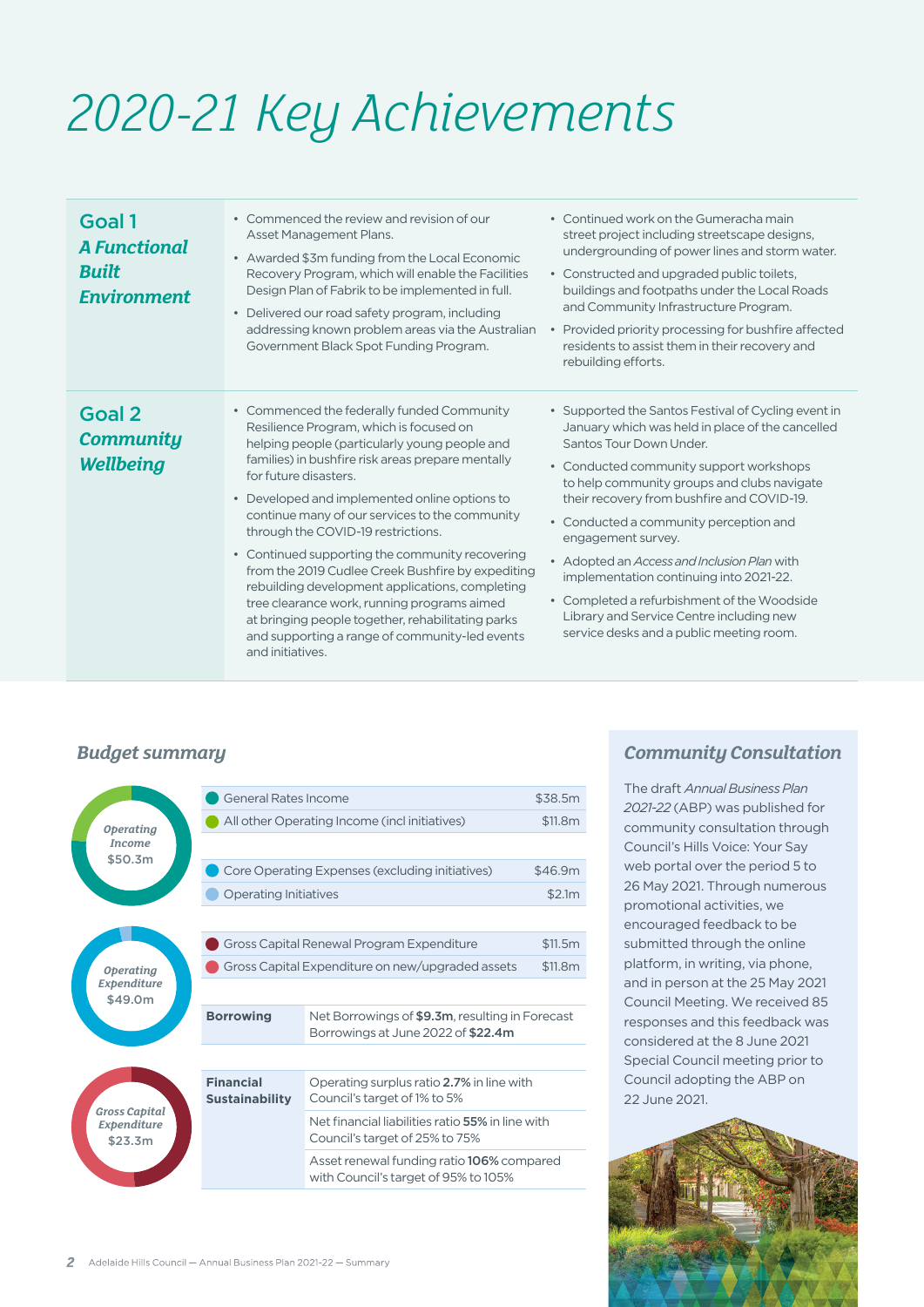## *2020-21 Key Achievements*

| Goal 1<br><b>A Functional</b><br><b>Built</b><br><b>Environment</b> | • Commenced the review and revision of our<br>Asset Management Plans.<br>• Awarded \$3m funding from the Local Economic<br>Recovery Program, which will enable the Facilities<br>Design Plan of Fabrik to be implemented in full.<br>• Delivered our road safety program, including<br>addressing known problem areas via the Australian<br>Government Black Spot Funding Program.                                                                                                                                                                                                                                                                                                                 | • Continued work on the Gumeracha main<br>street project including streetscape designs,<br>undergrounding of power lines and storm water.<br>• Constructed and upgraded public toilets,<br>buildings and footpaths under the Local Roads<br>and Community Infrastructure Program.<br>• Provided priority processing for bushfire affected<br>residents to assist them in their recovery and<br>rebuilding efforts.                                                                                                                                                          |
|---------------------------------------------------------------------|----------------------------------------------------------------------------------------------------------------------------------------------------------------------------------------------------------------------------------------------------------------------------------------------------------------------------------------------------------------------------------------------------------------------------------------------------------------------------------------------------------------------------------------------------------------------------------------------------------------------------------------------------------------------------------------------------|-----------------------------------------------------------------------------------------------------------------------------------------------------------------------------------------------------------------------------------------------------------------------------------------------------------------------------------------------------------------------------------------------------------------------------------------------------------------------------------------------------------------------------------------------------------------------------|
| Goal 2<br><b>Community</b><br><b>Wellbeing</b>                      | • Commenced the federally funded Community<br>Resilience Program, which is focused on<br>helping people (particularly young people and<br>families) in bushfire risk areas prepare mentally<br>for future disasters.<br>• Developed and implemented online options to<br>continue many of our services to the community<br>through the COVID-19 restrictions.<br>• Continued supporting the community recovering<br>from the 2019 Cudlee Creek Bushfire by expediting<br>rebuilding development applications, completing<br>tree clearance work, running programs aimed<br>at bringing people together, rehabilitating parks<br>and supporting a range of community-led events<br>and initiatives. | • Supported the Santos Festival of Cycling event in<br>January which was held in place of the cancelled<br>Santos Tour Down Under.<br>• Conducted community support workshops<br>to help community groups and clubs navigate<br>their recovery from bushfire and COVID-19.<br>• Conducted a community perception and<br>engagement survey.<br>• Adopted an Access and Inclusion Plan with<br>implementation continuing into 2021-22.<br>• Completed a refurbishment of the Woodside<br>Library and Service Centre including new<br>service desks and a public meeting room. |

#### *Budget summary*

|                                            |                                                | <b>General Rates Income</b>                      | \$38.5m                                                                               |         |
|--------------------------------------------|------------------------------------------------|--------------------------------------------------|---------------------------------------------------------------------------------------|---------|
|                                            | <b>Operating</b>                               | All other Operating Income (incl initiatives)    | \$11.8m                                                                               |         |
|                                            | <b>Income</b>                                  |                                                  |                                                                                       |         |
|                                            | \$50.3m                                        | Core Operating Expenses (excluding initiatives)  |                                                                                       |         |
|                                            |                                                | <b>Operating Initiatives</b>                     |                                                                                       |         |
|                                            |                                                |                                                  |                                                                                       |         |
| <b>Operating</b><br>Expenditure<br>\$49.0m |                                                | Gross Capital Renewal Program Expenditure        |                                                                                       | \$11.5m |
|                                            |                                                | Gross Capital Expenditure on new/upgraded assets |                                                                                       | \$11.8m |
|                                            |                                                |                                                  |                                                                                       |         |
|                                            |                                                | <b>Borrowing</b>                                 | Net Borrowings of \$9.3m, resulting in Forecast<br>Borrowings at June 2022 of \$22.4m |         |
|                                            |                                                |                                                  |                                                                                       |         |
|                                            |                                                | <b>Financial</b><br><b>Sustainability</b>        | Operating surplus ratio 2.7% in line with<br>Council's target of 1% to 5%             |         |
|                                            | <b>Gross Capital</b><br>Expenditure<br>\$23.3m |                                                  | Net financial liabilities ratio 55% in line with<br>Council's target of 25% to 75%    |         |
|                                            |                                                |                                                  | Asset renewal funding ratio 106% compared<br>with Council's target of 95% to 105%     |         |
|                                            |                                                |                                                  |                                                                                       |         |

#### *Community Consultation*

The draft *Annual Business Plan 2021-22* (ABP) was published for community consultation through Council's Hills Voice: Your Say web portal over the period 5 to 26 May 2021. Through numerous promotional activities, we encouraged feedback to be submitted through the online platform, in writing, via phone, and in person at the 25 May 2021 Council Meeting. We received 85 responses and this feedback was considered at the 8 June 2021 Special Council meeting prior to Council adopting the ABP on 22 June 2021.

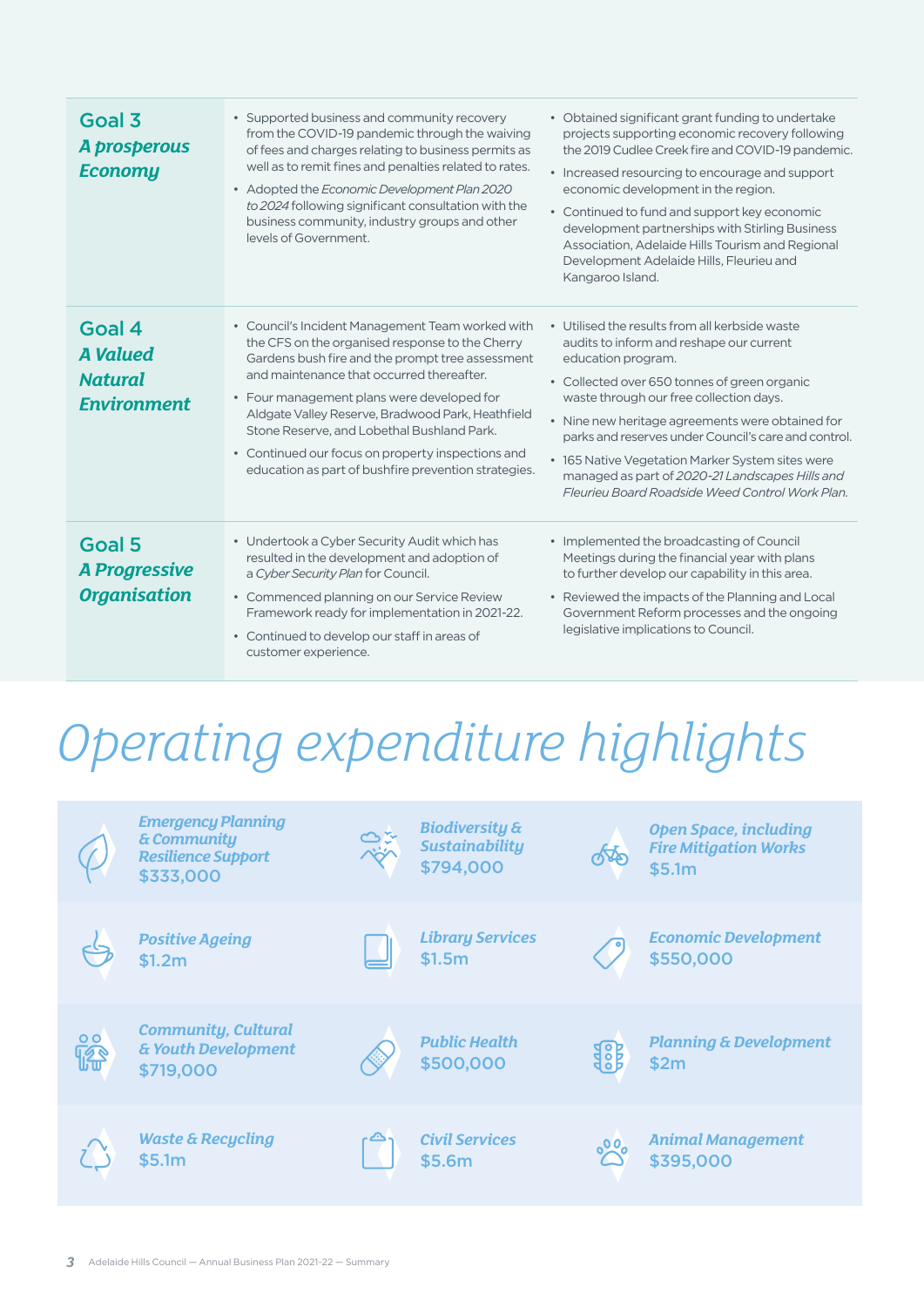| Goal 3<br>A prosperous<br><b>Economy</b>                          | • Supported business and community recovery<br>from the COVID-19 pandemic through the waiving<br>of fees and charges relating to business permits as<br>well as to remit fines and penalties related to rates.<br>• Adopted the Economic Development Plan 2020<br>to 2024 following significant consultation with the<br>business community, industry groups and other<br>levels of Government.                                                                    | • Obtained significant grant funding to undertake<br>projects supporting economic recovery following<br>the 2019 Cudlee Creek fire and COVID-19 pandemic.<br>• Increased resourcing to encourage and support<br>economic development in the region.<br>• Continued to fund and support key economic<br>development partnerships with Stirling Business<br>Association, Adelaide Hills Tourism and Regional<br>Development Adelaide Hills, Fleurieu and<br>Kangaroo Island.        |
|-------------------------------------------------------------------|--------------------------------------------------------------------------------------------------------------------------------------------------------------------------------------------------------------------------------------------------------------------------------------------------------------------------------------------------------------------------------------------------------------------------------------------------------------------|-----------------------------------------------------------------------------------------------------------------------------------------------------------------------------------------------------------------------------------------------------------------------------------------------------------------------------------------------------------------------------------------------------------------------------------------------------------------------------------|
| Goal 4<br><b>A</b> Valued<br><b>Natural</b><br><b>Environment</b> | • Council's Incident Management Team worked with<br>the CFS on the organised response to the Cherry<br>Gardens bush fire and the prompt tree assessment<br>and maintenance that occurred thereafter.<br>• Four management plans were developed for<br>Aldgate Valley Reserve, Bradwood Park, Heathfield<br>Stone Reserve, and Lobethal Bushland Park.<br>• Continued our focus on property inspections and<br>education as part of bushfire prevention strategies. | • Utilised the results from all kerbside waste<br>audits to inform and reshape our current<br>education program.<br>• Collected over 650 tonnes of green organic<br>waste through our free collection days.<br>• Nine new heritage agreements were obtained for<br>parks and reserves under Council's care and control.<br>• 165 Native Vegetation Marker System sites were<br>managed as part of 2020-21 Landscapes Hills and<br>Fleurieu Board Roadside Weed Control Work Plan. |
| Goal 5<br><b>A Progressive</b><br><b>Organisation</b>             | • Undertook a Cyber Security Audit which has<br>resulted in the development and adoption of<br>a Cyber Security Plan for Council.<br>• Commenced planning on our Service Review<br>Framework ready for implementation in 2021-22.<br>• Continued to develop our staff in areas of<br>customer experience.                                                                                                                                                          | • Implemented the broadcasting of Council<br>Meetings during the financial year with plans<br>to further develop our capability in this area.<br>• Reviewed the impacts of the Planning and Local<br>Government Reform processes and the ongoing<br>legislative implications to Council.                                                                                                                                                                                          |

# *Operating expenditure highlights*

|                 | <b>Emergency Planning</b><br>& Community<br><b>Resilience Support</b><br>\$333,000 | <b>Biodiversity &amp;</b><br><b>Sustainability</b><br>\$794,000 | $\sqrt[4]{3}$ | <b>Open Space, including</b><br><b>Fire Mitigation Works</b><br>\$5.1m |
|-----------------|------------------------------------------------------------------------------------|-----------------------------------------------------------------|---------------|------------------------------------------------------------------------|
|                 | <b>Positive Ageing</b><br>\$1.2m                                                   | <b>Library Services</b><br>\$1.5m                               |               | <b>Economic Development</b><br>\$550,000                               |
| <b>Do</b><br>14 | <b>Community, Cultural</b><br>& Youth Development<br>\$719,000                     | <b>Public Health</b><br>\$500,000                               | 组织            | <b>Planning &amp; Development</b><br>\$2m                              |
|                 | <b>Waste &amp; Recycling</b><br>\$5.1m                                             | <b>Civil Services</b><br>\$5.6m                                 | $\delta^{00}$ | <b>Animal Management</b><br>\$395,000                                  |